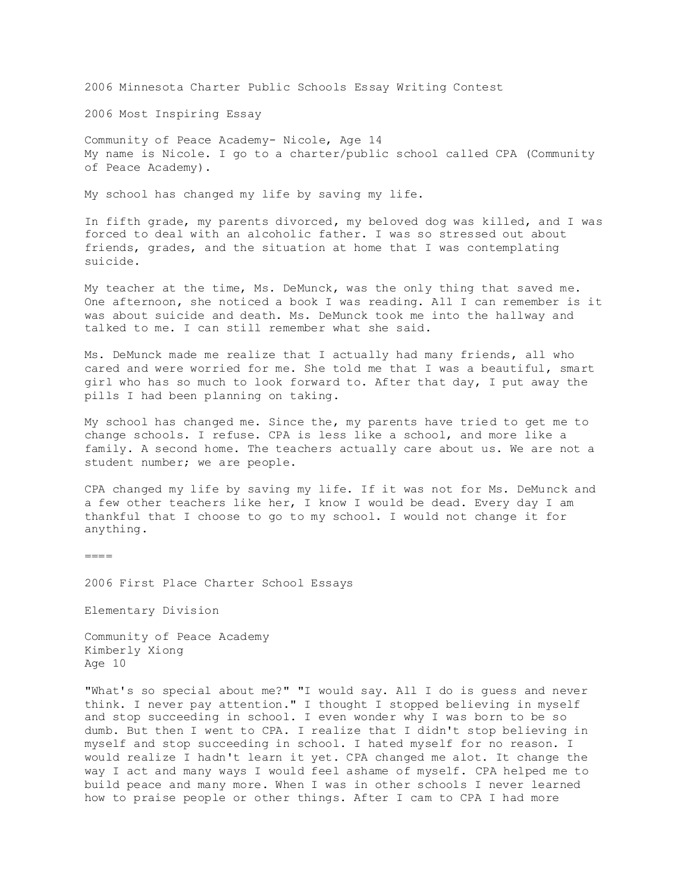2006 Minnesota Charter Public Schools Essay Writing Contest

2006 Most Inspiring Essay

Community of Peace Academy- Nicole, Age 14 My name is Nicole. I go to a charter/public school called CPA (Community of Peace Academy).

My school has changed my life by saving my life.

In fifth grade, my parents divorced, my beloved dog was killed, and I was forced to deal with an alcoholic father. I was so stressed out about friends, grades, and the situation at home that I was contemplating suicide.

My teacher at the time, Ms. DeMunck, was the only thing that saved me. One afternoon, she noticed a book I was reading. All I can remember is it was about suicide and death. Ms. DeMunck took me into the hallway and talked to me. I can still remember what she said.

Ms. DeMunck made me realize that I actually had many friends, all who cared and were worried for me. She told me that I was a beautiful, smart girl who has so much to look forward to. After that day, I put away the pills I had been planning on taking.

My school has changed me. Since the, my parents have tried to get me to change schools. I refuse. CPA is less like a school, and more like a family. A second home. The teachers actually care about us. We are not a student number; we are people.

CPA changed my life by saving my life. If it was not for Ms. DeMunck and a few other teachers like her, I know I would be dead. Every day I am thankful that I choose to go to my school. I would not change it for anything.

 $====$ 

2006 First Place Charter School Essays

Elementary Division

Community of Peace Academy Kimberly Xiong Age 10

"What's so special about me?" "I would say. All I do is guess and never think. I never pay attention." I thought I stopped believing in myself and stop succeeding in school. I even wonder why I was born to be so dumb. But then I went to CPA. I realize that I didn't stop believing in myself and stop succeeding in school. I hated myself for no reason. I would realize I hadn't learn it yet. CPA changed me alot. It change the way I act and many ways I would feel ashame of myself. CPA helped me to build peace and many more. When I was in other schools I never learned how to praise people or other things. After I cam to CPA I had more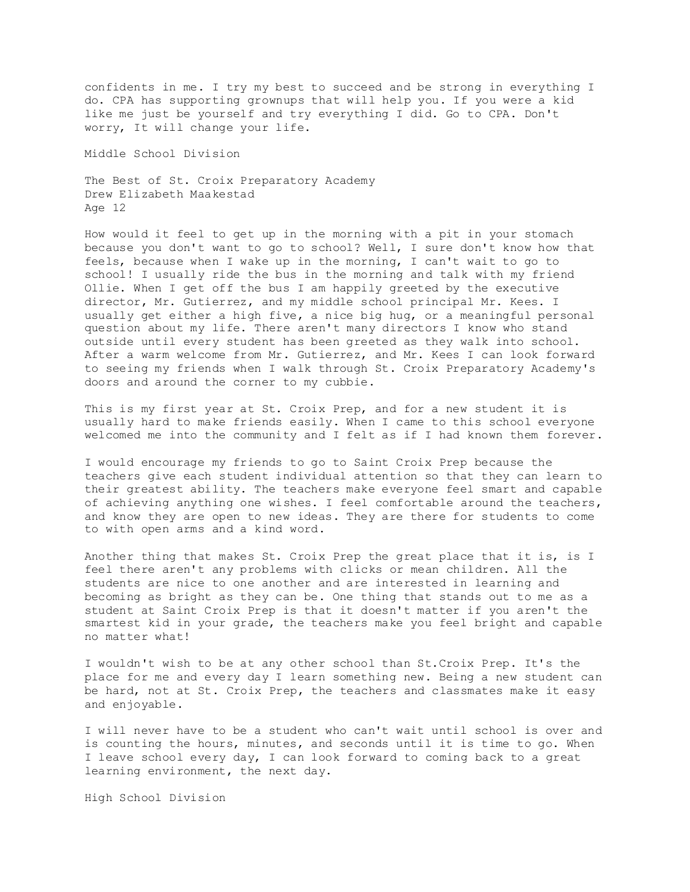confidents in me. I try my best to succeed and be strong in everything I do. CPA has supporting grownups that will help you. If you were a kid like me just be yourself and try everything I did. Go to CPA. Don't worry, It will change your life.

Middle School Division

The Best of St. Croix Preparatory Academy Drew Elizabeth Maakestad Age 12

How would it feel to get up in the morning with a pit in your stomach because you don't want to go to school? Well, I sure don't know how that feels, because when I wake up in the morning, I can't wait to go to school! I usually ride the bus in the morning and talk with my friend Ollie. When I get off the bus I am happily greeted by the executive director, Mr. Gutierrez, and my middle school principal Mr. Kees. I usually get either a high five, a nice big hug, or a meaningful personal question about my life. There aren't many directors I know who stand outside until every student has been greeted as they walk into school. After a warm welcome from Mr. Gutierrez, and Mr. Kees I can look forward to seeing my friends when I walk through St. Croix Preparatory Academy's doors and around the corner to my cubbie.

This is my first year at St. Croix Prep, and for a new student it is usually hard to make friends easily. When I came to this school everyone welcomed me into the community and I felt as if I had known them forever.

I would encourage my friends to go to Saint Croix Prep because the teachers give each student individual attention so that they can learn to their greatest ability. The teachers make everyone feel smart and capable of achieving anything one wishes. I feel comfortable around the teachers, and know they are open to new ideas. They are there for students to come to with open arms and a kind word.

Another thing that makes St. Croix Prep the great place that it is, is I feel there aren't any problems with clicks or mean children. All the students are nice to one another and are interested in learning and becoming as bright as they can be. One thing that stands out to me as a student at Saint Croix Prep is that it doesn't matter if you aren't the smartest kid in your grade, the teachers make you feel bright and capable no matter what!

I wouldn't wish to be at any other school than St.Croix Prep. It's the place for me and every day I learn something new. Being a new student can be hard, not at St. Croix Prep, the teachers and classmates make it easy and enjoyable.

I will never have to be a student who can't wait until school is over and is counting the hours, minutes, and seconds until it is time to go. When I leave school every day, I can look forward to coming back to a great learning environment, the next day.

High School Division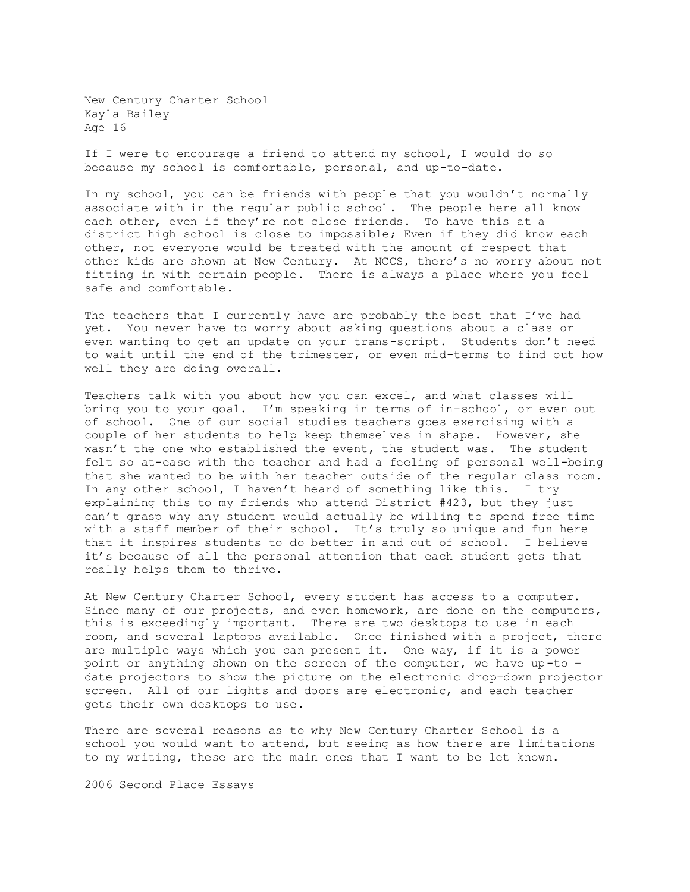New Century Charter School Kayla Bailey Age 16

If I were to encourage a friend to attend my school, I would do so because my school is comfortable, personal, and up-to-date.

In my school, you can be friends with people that you wouldn't normally associate with in the regular public school. The people here all know each other, even if they're not close friends. To have this at a district high school is close to impossible; Even if they did know each other, not everyone would be treated with the amount of respect that other kids are shown at New Century. At NCCS, there's no worry about not fitting in with certain people. There is always a place where you feel safe and comfortable.

The teachers that I currently have are probably the best that I've had yet. You never have to worry about asking questions about a class or even wanting to get an update on your trans-script. Students don't need to wait until the end of the trimester, or even mid-terms to find out how well they are doing overall.

Teachers talk with you about how you can excel, and what classes will bring you to your goal. I'm speaking in terms of in-school, or even out of school. One of our social studies teachers goes exercising with a couple of her students to help keep themselves in shape. However, she wasn't the one who established the event, the student was. The student felt so at-ease with the teacher and had a feeling of personal well-being that she wanted to be with her teacher outside of the regular class room. In any other school, I haven't heard of something like this. I try explaining this to my friends who attend District #423, but they just can't grasp why any student would actually be willing to spend free time with a staff member of their school. It's truly so unique and fun here that it inspires students to do better in and out of school. I believe it's because of all the personal attention that each student gets that really helps them to thrive.

At New Century Charter School, every student has access to a computer. Since many of our projects, and even homework, are done on the computers, this is exceedingly important. There are two desktops to use in each room, and several laptops available. Once finished with a project, there are multiple ways which you can present it. One way, if it is a power point or anything shown on the screen of the computer, we have up-to – date projectors to show the picture on the electronic drop-down projector screen. All of our lights and doors are electronic, and each teacher gets their own desktops to use.

There are several reasons as to why New Century Charter School is a school you would want to attend, but seeing as how there are limitations to my writing, these are the main ones that I want to be let known.

2006 Second Place Essays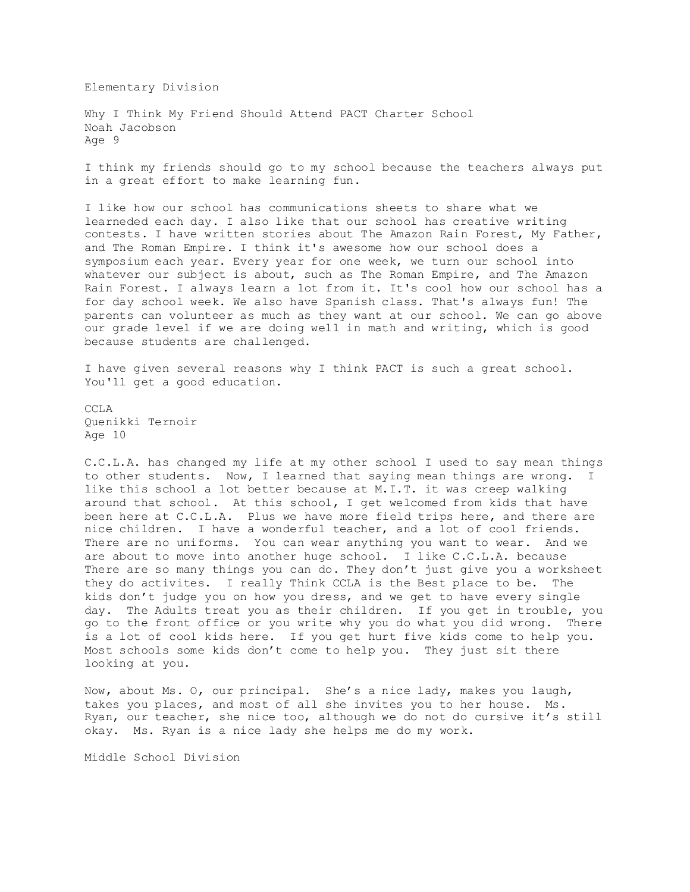Elementary Division

Why I Think My Friend Should Attend PACT Charter School Noah Jacobson Age 9

I think my friends should go to my school because the teachers always put in a great effort to make learning fun.

I like how our school has communications sheets to share what we learneded each day. I also like that our school has creative writing contests. I have written stories about The Amazon Rain Forest, My Father, and The Roman Empire. I think it's awesome how our school does a symposium each year. Every year for one week, we turn our school into whatever our subject is about, such as The Roman Empire, and The Amazon Rain Forest. I always learn a lot from it. It's cool how our school has a for day school week. We also have Spanish class. That's always fun! The parents can volunteer as much as they want at our school. We can go above our grade level if we are doing well in math and writing, which is good because students are challenged.

I have given several reasons why I think PACT is such a great school. You'll get a good education.

CCL<sub>A</sub> Quenikki Ternoir Age 10

C.C.L.A. has changed my life at my other school I used to say mean things to other students. Now, I learned that saying mean things are wrong. I like this school a lot better because at M.I.T. it was creep walking around that school. At this school, I get welcomed from kids that have been here at C.C.L.A. Plus we have more field trips here, and there are nice children. I have a wonderful teacher, and a lot of cool friends. There are no uniforms. You can wear anything you want to wear. And we are about to move into another huge school. I like C.C.L.A. because There are so many things you can do. They don't just give you a worksheet they do activites. I really Think CCLA is the Best place to be. The kids don't judge you on how you dress, and we get to have every single day. The Adults treat you as their children. If you get in trouble, you go to the front office or you write why you do what you did wrong. There is a lot of cool kids here. If you get hurt five kids come to help you. Most schools some kids don't come to help you. They just sit there looking at you.

Now, about Ms. O, our principal. She's a nice lady, makes you laugh, takes you places, and most of all she invites you to her house. Ms. Ryan, our teacher, she nice too, although we do not do cursive it's still okay. Ms. Ryan is a nice lady she helps me do my work.

Middle School Division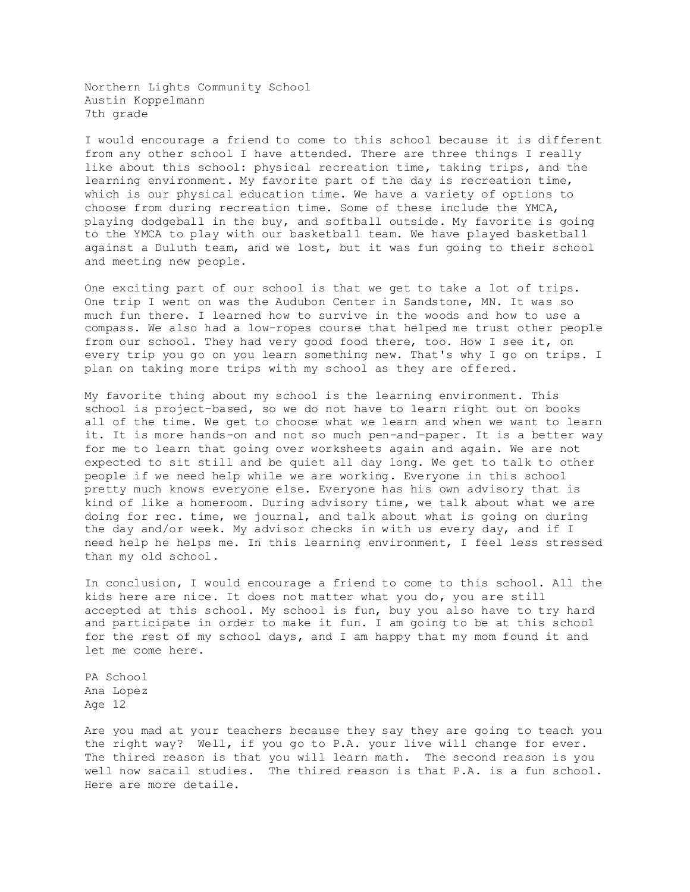Northern Lights Community School Austin Koppelmann 7th grade

I would encourage a friend to come to this school because it is different from any other school I have attended. There are three things I really like about this school: physical recreation time, taking trips, and the learning environment. My favorite part of the day is recreation time, which is our physical education time. We have a variety of options to choose from during recreation time. Some of these include the YMCA, playing dodgeball in the buy, and softball outside. My favorite is going to the YMCA to play with our basketball team. We have played basketball against a Duluth team, and we lost, but it was fun going to their school and meeting new people.

One exciting part of our school is that we get to take a lot of trips. One trip I went on was the Audubon Center in Sandstone, MN. It was so much fun there. I learned how to survive in the woods and how to use a compass. We also had a low-ropes course that helped me trust other people from our school. They had very good food there, too. How I see it, on every trip you go on you learn something new. That's why I go on trips. I plan on taking more trips with my school as they are offered.

My favorite thing about my school is the learning environment. This school is project-based, so we do not have to learn right out on books all of the time. We get to choose what we learn and when we want to learn it. It is more hands-on and not so much pen-and-paper. It is a better way for me to learn that going over worksheets again and again. We are not expected to sit still and be quiet all day long. We get to talk to other people if we need help while we are working. Everyone in this school pretty much knows everyone else. Everyone has his own advisory that is kind of like a homeroom. During advisory time, we talk about what we are doing for rec. time, we journal, and talk about what is going on during the day and/or week. My advisor checks in with us every day, and if I need help he helps me. In this learning environment, I feel less stressed than my old school.

In conclusion, I would encourage a friend to come to this school. All the kids here are nice. It does not matter what you do, you are still accepted at this school. My school is fun, buy you also have to try hard and participate in order to make it fun. I am going to be at this school for the rest of my school days, and I am happy that my mom found it and let me come here.

PA School Ana Lopez Age 12

Are you mad at your teachers because they say they are going to teach you the right way? Well, if you go to P.A. your live will change for ever. The thired reason is that you will learn math. The second reason is you well now sacail studies. The thired reason is that P.A. is a fun school. Here are more detaile.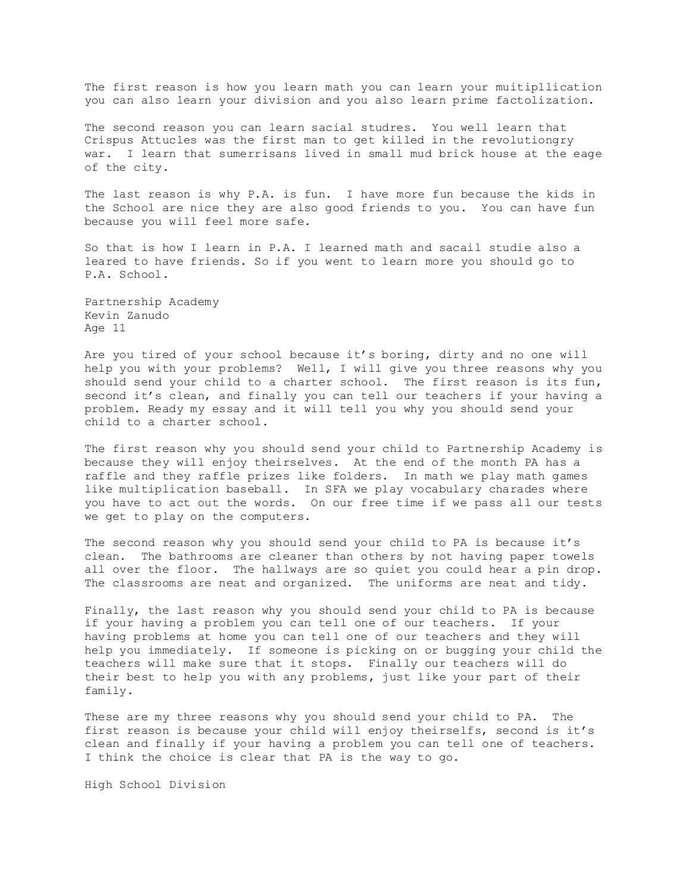The first reason is how you learn math you can learn your muitipllication you can also learn your division and you also learn prime factolization.

The second reason you can learn sacial studres. You well learn that Crispus Attucles was the first man to get killed in the revolutiongry war. I learn that sumerrisans lived in small mud brick house at the eage of the city.

The last reason is why P.A. is fun. I have more fun because the kids in the School are nice they are also good friends to you. You can have fun because you will feel more safe.

So that is how I learn in P.A. I learned math and sacail studie also a leared to have friends. So if you went to learn more you should go to P.A. School.

Partnership Academy Kevin Zanudo Age 11

Are you tired of your school because it's boring, dirty and no one will help you with your problems? Well, I will give you three reasons why you should send your child to a charter school. The first reason is its fun, second it's clean, and finally you can tell our teachers if your having a problem. Ready my essay and it will tell you why you should send your child to a charter school.

The first reason why you should send your child to Partnership Academy is because they will enjoy theirselves. At the end of the month PA has a raffle and they raffle prizes like folders. In math we play math games like multiplication baseball. In SFA we play vocabulary charades where you have to act out the words. On our free time if we pass all our tests we get to play on the computers.

The second reason why you should send your child to PA is because it's clean. The bathrooms are cleaner than others by not having paper towels all over the floor. The hallways are so quiet you could hear a pin drop. The classrooms are neat and organized. The uniforms are neat and tidy.

Finally, the last reason why you should send your child to PA is because if your having a problem you can tell one of our teachers. If your having problems at home you can tell one of our teachers and they will help you immediately. If someone is picking on or bugging your child the teachers will make sure that it stops. Finally our teachers will do their best to help you with any problems, just like your part of their family.

These are my three reasons why you should send your child to PA. The first reason is because your child will enjoy theirselfs, second is it's clean and finally if your having a problem you can tell one of teachers. I think the choice is clear that PA is the way to go.

High School Division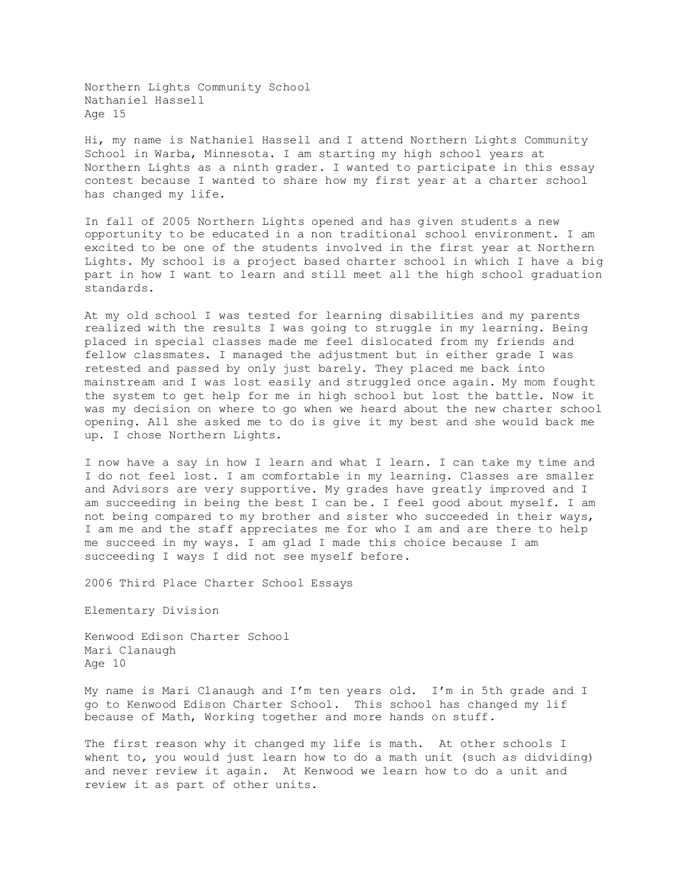Northern Lights Community School Nathaniel Hassell Age 15

Hi, my name is Nathaniel Hassell and I attend Northern Lights Community School in Warba, Minnesota. I am starting my high school years at Northern Lights as a ninth grader. I wanted to participate in this essay contest because I wanted to share how my first year at a charter school has changed my life.

In fall of 2005 Northern Lights opened and has given students a new opportunity to be educated in a non traditional school environment. I am excited to be one of the students involved in the first year at Northern Lights. My school is a project based charter school in which I have a big part in how I want to learn and still meet all the high school graduation standards.

At my old school I was tested for learning disabilities and my parents realized with the results I was going to struggle in my learning. Being placed in special classes made me feel dislocated from my friends and fellow classmates. I managed the adjustment but in either grade I was retested and passed by only just barely. They placed me back into mainstream and I was lost easily and struggled once again. My mom fought the system to get help for me in high school but lost the battle. Now it was my decision on where to go when we heard about the new charter school opening. All she asked me to do is give it my best and she would back me up. I chose Northern Lights.

I now have a say in how I learn and what I learn. I can take my time and I do not feel lost. I am comfortable in my learning. Classes are smaller and Advisors are very supportive. My grades have greatly improved and I am succeeding in being the best I can be. I feel good about myself. I am not being compared to my brother and sister who succeeded in their ways, I am me and the staff appreciates me for who I am and are there to help me succeed in my ways. I am glad I made this choice because I am succeeding I ways I did not see myself before.

2006 Third Place Charter School Essays

Elementary Division

Kenwood Edison Charter School Mari Clanaugh Age 10

My name is Mari Clanaugh and I'm ten years old. I'm in 5th grade and I go to Kenwood Edison Charter School. This school has changed my lif because of Math, Working together and more hands on stuff.

The first reason why it changed my life is math. At other schools I whent to, you would just learn how to do a math unit (such as didviding) and never review it again. At Kenwood we learn how to do a unit and review it as part of other units.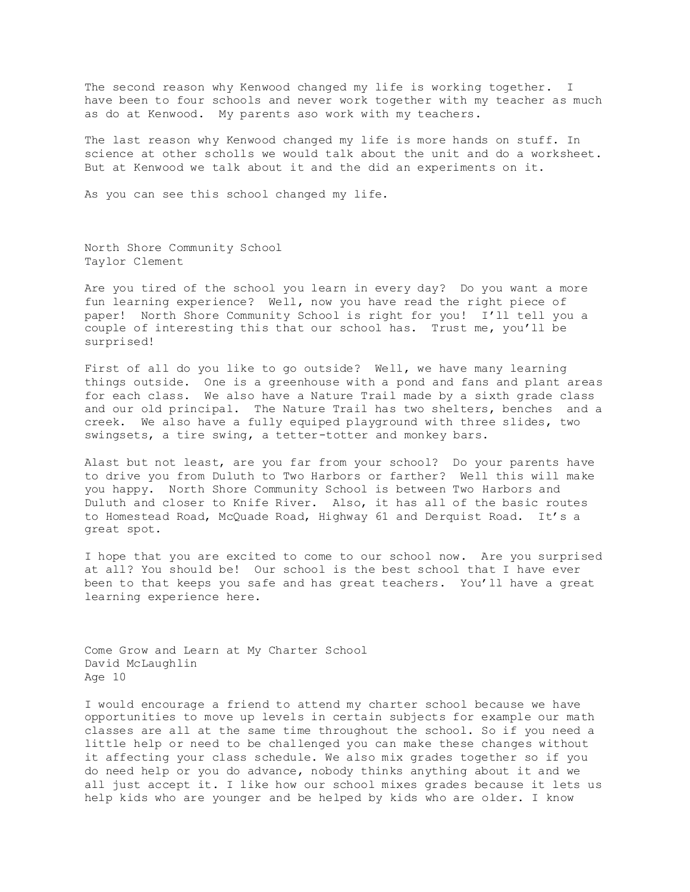The second reason why Kenwood changed my life is working together. I have been to four schools and never work together with my teacher as much as do at Kenwood. My parents aso work with my teachers.

The last reason why Kenwood changed my life is more hands on stuff. In science at other scholls we would talk about the unit and do a worksheet. But at Kenwood we talk about it and the did an experiments on it.

As you can see this school changed my life.

North Shore Community School Taylor Clement

Are you tired of the school you learn in every day? Do you want a more fun learning experience? Well, now you have read the right piece of paper! North Shore Community School is right for you! I'll tell you a couple of interesting this that our school has. Trust me, you'll be surprised!

First of all do you like to go outside? Well, we have many learning things outside. One is a greenhouse with a pond and fans and plant areas for each class. We also have a Nature Trail made by a sixth grade class and our old principal. The Nature Trail has two shelters, benches and a creek. We also have a fully equiped playground with three slides, two swingsets, a tire swing, a tetter-totter and monkey bars.

Alast but not least, are you far from your school? Do your parents have to drive you from Duluth to Two Harbors or farther? Well this will make you happy. North Shore Community School is between Two Harbors and Duluth and closer to Knife River. Also, it has all of the basic routes to Homestead Road, McQuade Road, Highway 61 and Derquist Road. It's a great spot.

I hope that you are excited to come to our school now. Are you surprised at all? You should be! Our school is the best school that I have ever been to that keeps you safe and has great teachers. You'll have a great learning experience here.

Come Grow and Learn at My Charter School David McLaughlin Age 10

I would encourage a friend to attend my charter school because we have opportunities to move up levels in certain subjects for example our math classes are all at the same time throughout the school. So if you need a little help or need to be challenged you can make these changes without it affecting your class schedule. We also mix grades together so if you do need help or you do advance, nobody thinks anything about it and we all just accept it. I like how our school mixes grades because it lets us help kids who are younger and be helped by kids who are older. I know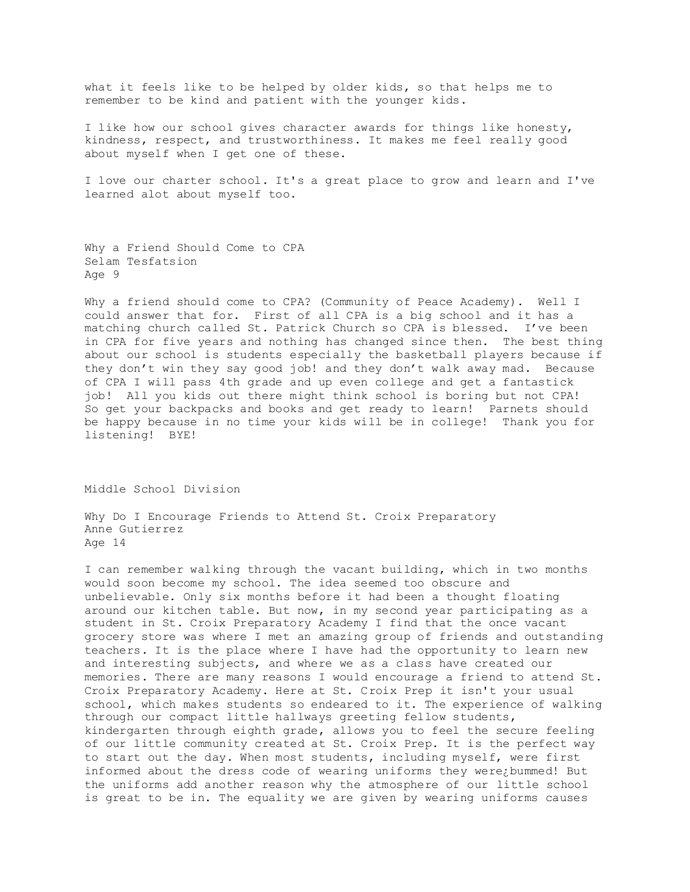what it feels like to be helped by older kids, so that helps me to remember to be kind and patient with the younger kids.

I like how our school gives character awards for things like honesty, kindness, respect, and trustworthiness. It makes me feel really good about myself when I get one of these.

I love our charter school. It's a great place to grow and learn and I've learned alot about myself too.

```
Why a Friend Should Come to CPA
Selam Tesfatsion
Age 9
```
Why a friend should come to CPA? (Community of Peace Academy). Well I could answer that for. First of all CPA is a big school and it has a matching church called St. Patrick Church so CPA is blessed. I've been in CPA for five years and nothing has changed since then. The best thing about our school is students especially the basketball players because if they don't win they say good job! and they don't walk away mad. Because of CPA I will pass 4th grade and up even college and get a fantastick job! All you kids out there might think school is boring but not CPA! So get your backpacks and books and get ready to learn! Parnets should be happy because in no time your kids will be in college! Thank you for listening! BYE!

Middle School Division

Why Do I Encourage Friends to Attend St. Croix Preparatory Anne Gutierrez Age 14

I can remember walking through the vacant building, which in two months would soon become my school. The idea seemed too obscure and unbelievable. Only six months before it had been a thought floating around our kitchen table. But now, in my second year participating as a student in St. Croix Preparatory Academy I find that the once vacant grocery store was where I met an amazing group of friends and outstanding teachers. It is the place where I have had the opportunity to learn new and interesting subjects, and where we as a class have created our memories. There are many reasons I would encourage a friend to attend St. Croix Preparatory Academy. Here at St. Croix Prep it isn't your usual school, which makes students so endeared to it. The experience of walking through our compact little hallways greeting fellow students, kindergarten through eighth grade, allows you to feel the secure feeling of our little community created at St. Croix Prep. It is the perfect way to start out the day. When most students, including myself, were first informed about the dress code of wearing uniforms they were¿bummed! But the uniforms add another reason why the atmosphere of our little school is great to be in. The equality we are given by wearing uniforms causes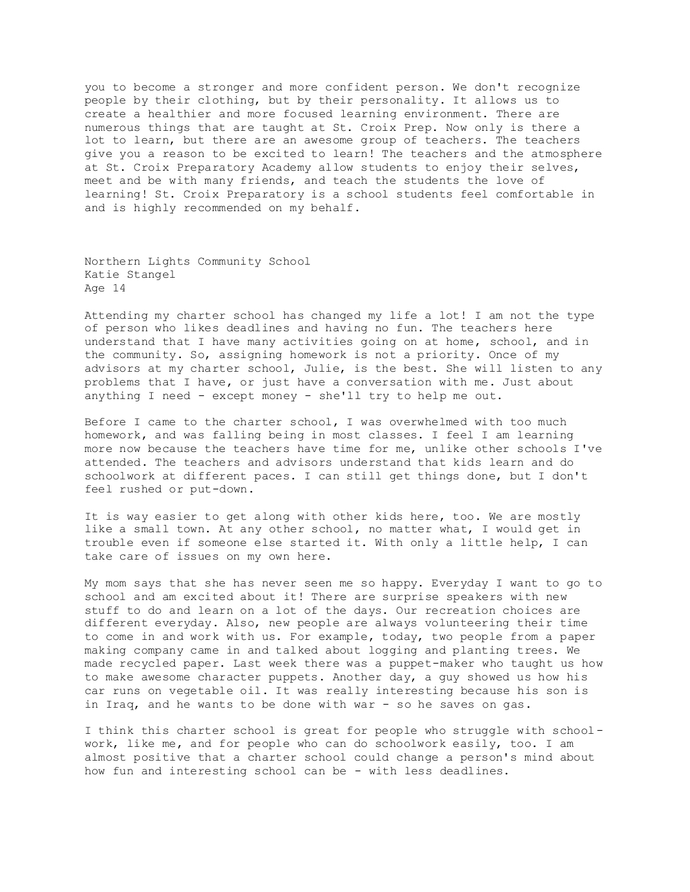you to become a stronger and more confident person. We don't recognize people by their clothing, but by their personality. It allows us to create a healthier and more focused learning environment. There are numerous things that are taught at St. Croix Prep. Now only is there a lot to learn, but there are an awesome group of teachers. The teachers give you a reason to be excited to learn! The teachers and the atmosphere at St. Croix Preparatory Academy allow students to enjoy their selves, meet and be with many friends, and teach the students the love of learning! St. Croix Preparatory is a school students feel comfortable in and is highly recommended on my behalf.

Northern Lights Community School Katie Stangel Age 14

Attending my charter school has changed my life a lot! I am not the type of person who likes deadlines and having no fun. The teachers here understand that I have many activities going on at home, school, and in the community. So, assigning homework is not a priority. Once of my advisors at my charter school, Julie, is the best. She will listen to any problems that I have, or just have a conversation with me. Just about anything I need - except money - she'll try to help me out.

Before I came to the charter school, I was overwhelmed with too much homework, and was falling being in most classes. I feel I am learning more now because the teachers have time for me, unlike other schools I've attended. The teachers and advisors understand that kids learn and do schoolwork at different paces. I can still get things done, but I don't feel rushed or put-down.

It is way easier to get along with other kids here, too. We are mostly like a small town. At any other school, no matter what, I would get in trouble even if someone else started it. With only a little help, I can take care of issues on my own here.

My mom says that she has never seen me so happy. Everyday I want to go to school and am excited about it! There are surprise speakers with new stuff to do and learn on a lot of the days. Our recreation choices are different everyday. Also, new people are always volunteering their time to come in and work with us. For example, today, two people from a paper making company came in and talked about logging and planting trees. We made recycled paper. Last week there was a puppet-maker who taught us how to make awesome character puppets. Another day, a guy showed us how his car runs on vegetable oil. It was really interesting because his son is in Iraq, and he wants to be done with war - so he saves on gas.

I think this charter school is great for people who struggle with schoolwork, like me, and for people who can do schoolwork easily, too. I am almost positive that a charter school could change a person's mind about how fun and interesting school can be - with less deadlines.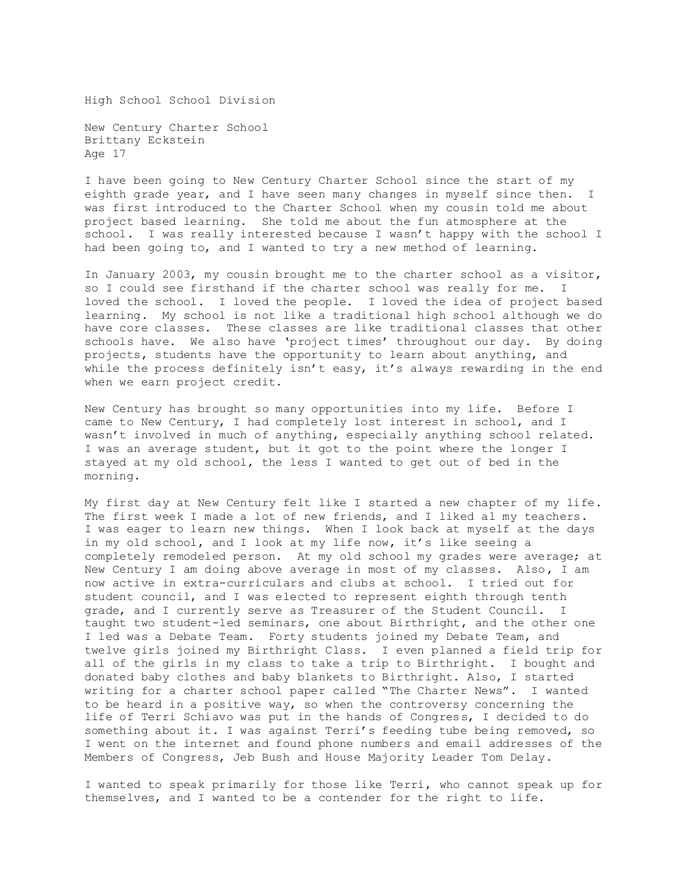High School School Division

New Century Charter School Brittany Eckstein Age 17

I have been going to New Century Charter School since the start of my eighth grade year, and I have seen many changes in myself since then. I was first introduced to the Charter School when my cousin told me about project based learning. She told me about the fun atmosphere at the school. I was really interested because I wasn't happy with the school I had been going to, and I wanted to try a new method of learning.

In January 2003, my cousin brought me to the charter school as a visitor, so I could see firsthand if the charter school was really for me. I loved the school. I loved the people. I loved the idea of project based learning. My school is not like a traditional high school although we do have core classes. These classes are like traditional classes that other schools have. We also have 'project times' throughout our day. By doing projects, students have the opportunity to learn about anything, and while the process definitely isn't easy, it's always rewarding in the end when we earn project credit.

New Century has brought so many opportunities into my life. Before I came to New Century, I had completely lost interest in school, and I wasn't involved in much of anything, especially anything school related. I was an average student, but it got to the point where the longer I stayed at my old school, the less I wanted to get out of bed in the morning.

My first day at New Century felt like I started a new chapter of my life. The first week I made a lot of new friends, and I liked al my teachers. I was eager to learn new things. When I look back at myself at the days in my old school, and I look at my life now, it's like seeing a completely remodeled person. At my old school my grades were average; at New Century I am doing above average in most of my classes. Also, I am now active in extra-curriculars and clubs at school. I tried out for student council, and I was elected to represent eighth through tenth grade, and I currently serve as Treasurer of the Student Council. I taught two student-led seminars, one about Birthright, and the other one I led was a Debate Team. Forty students joined my Debate Team, and twelve girls joined my Birthright Class. I even planned a field trip for all of the girls in my class to take a trip to Birthright. I bought and donated baby clothes and baby blankets to Birthright. Also, I started writing for a charter school paper called "The Charter News". I wanted to be heard in a positive way, so when the controversy concerning the life of Terri Schiavo was put in the hands of Congress, I decided to do something about it. I was against Terri's feeding tube being removed, so I went on the internet and found phone numbers and email addresses of the Members of Congress, Jeb Bush and House Majority Leader Tom Delay.

I wanted to speak primarily for those like Terri, who cannot speak up for themselves, and I wanted to be a contender for the right to life.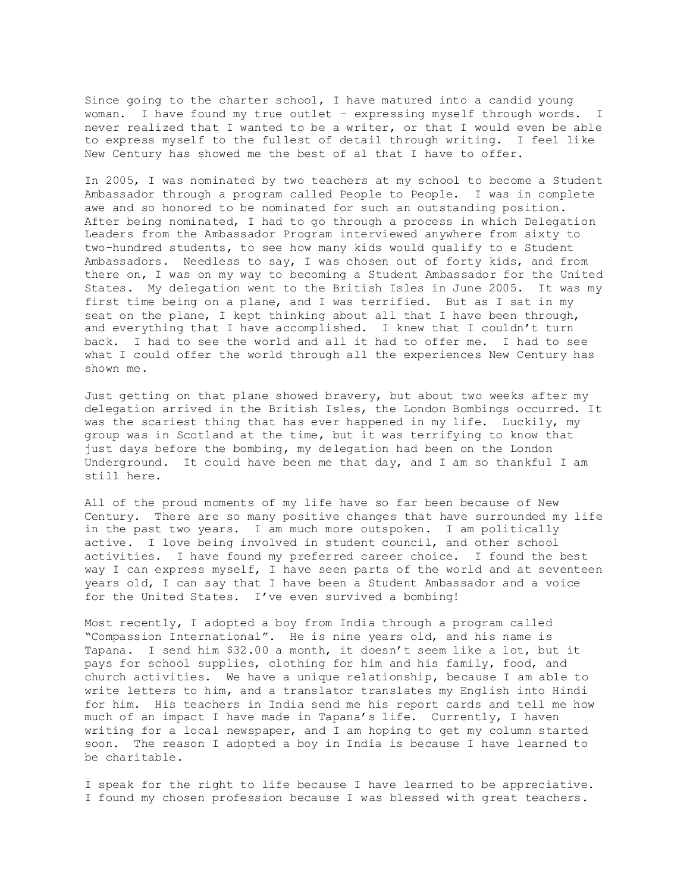Since going to the charter school, I have matured into a candid young woman. I have found my true outlet – expressing myself through words. I never realized that I wanted to be a writer, or that I would even be able to express myself to the fullest of detail through writing. I feel like New Century has showed me the best of al that I have to offer.

In 2005, I was nominated by two teachers at my school to become a Student Ambassador through a program called People to People. I was in complete awe and so honored to be nominated for such an outstanding position. After being nominated, I had to go through a process in which Delegation Leaders from the Ambassador Program interviewed anywhere from sixty to two-hundred students, to see how many kids would qualify to e Student Ambassadors. Needless to say, I was chosen out of forty kids, and from there on, I was on my way to becoming a Student Ambassador for the United States. My delegation went to the British Isles in June 2005. It was my first time being on a plane, and I was terrified. But as I sat in my seat on the plane, I kept thinking about all that I have been through, and everything that I have accomplished. I knew that I couldn't turn back. I had to see the world and all it had to offer me. I had to see what I could offer the world through all the experiences New Century has shown me.

Just getting on that plane showed bravery, but about two weeks after my delegation arrived in the British Isles, the London Bombings occurred. It was the scariest thing that has ever happened in my life. Luckily, my group was in Scotland at the time, but it was terrifying to know that just days before the bombing, my delegation had been on the London Underground. It could have been me that day, and I am so thankful I am still here.

All of the proud moments of my life have so far been because of New Century. There are so many positive changes that have surrounded my life in the past two years. I am much more outspoken. I am politically active. I love being involved in student council, and other school activities. I have found my preferred career choice. I found the best way I can express myself, I have seen parts of the world and at seventeen years old, I can say that I have been a Student Ambassador and a voice for the United States. I've even survived a bombing!

Most recently, I adopted a boy from India through a program called "Compassion International". He is nine years old, and his name is Tapana. I send him \$32.00 a month, it doesn't seem like a lot, but it pays for school supplies, clothing for him and his family, food, and church activities. We have a unique relationship, because I am able to write letters to him, and a translator translates my English into Hindi for him. His teachers in India send me his report cards and tell me how much of an impact I have made in Tapana's life. Currently, I haven writing for a local newspaper, and I am hoping to get my column started soon. The reason I adopted a boy in India is because I have learned to be charitable.

I speak for the right to life because I have learned to be appreciative. I found my chosen profession because I was blessed with great teachers.